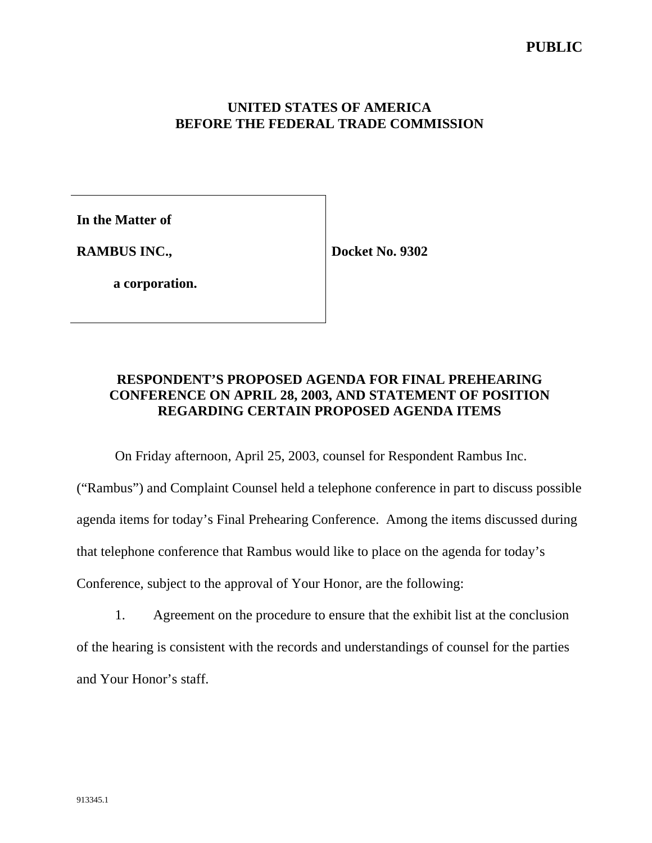## **UNITED STATES OF AMERICA BEFORE THE FEDERAL TRADE COMMISSION**

**In the Matter of**

**RAMBUS INC.,**

**Docket No. 9302**

**a corporation.**

# **RESPONDENT'S PROPOSED AGENDA FOR FINAL PREHEARING CONFERENCE ON APRIL 28, 2003, AND STATEMENT OF POSITION REGARDING CERTAIN PROPOSED AGENDA ITEMS**

On Friday afternoon, April 25, 2003, counsel for Respondent Rambus Inc.

("Rambus") and Complaint Counsel held a telephone conference in part to discuss possible agenda items for today's Final Prehearing Conference. Among the items discussed during that telephone conference that Rambus would like to place on the agenda for today's Conference, subject to the approval of Your Honor, are the following:

1. Agreement on the procedure to ensure that the exhibit list at the conclusion of the hearing is consistent with the records and understandings of counsel for the parties and Your Honor's staff.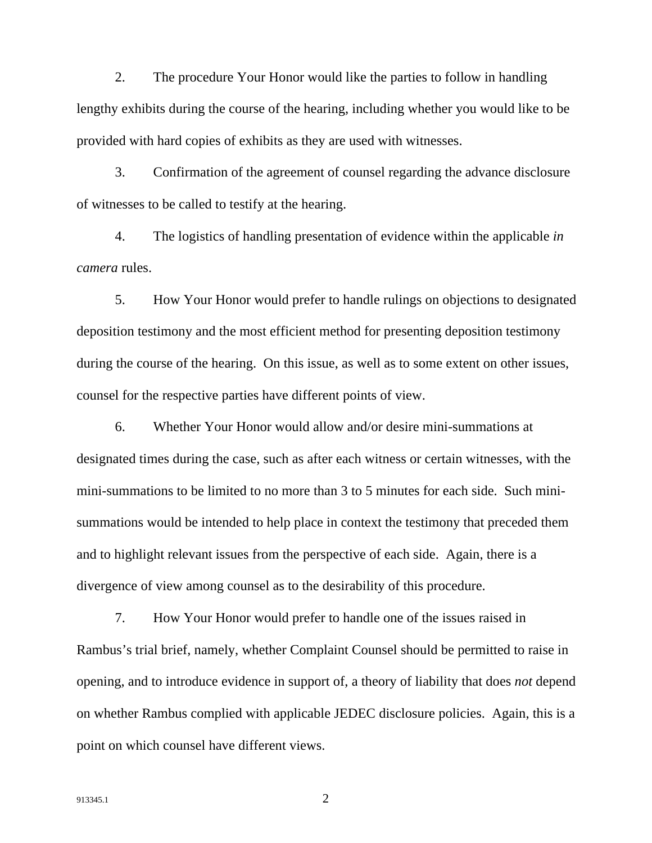2. The procedure Your Honor would like the parties to follow in handling lengthy exhibits during the course of the hearing, including whether you would like to be provided with hard copies of exhibits as they are used with witnesses.

3. Confirmation of the agreement of counsel regarding the advance disclosure of witnesses to be called to testify at the hearing.

4. The logistics of handling presentation of evidence within the applicable *in camera* rules.

5. How Your Honor would prefer to handle rulings on objections to designated deposition testimony and the most efficient method for presenting deposition testimony during the course of the hearing. On this issue, as well as to some extent on other issues, counsel for the respective parties have different points of view.

6. Whether Your Honor would allow and/or desire mini-summations at designated times during the case, such as after each witness or certain witnesses, with the mini-summations to be limited to no more than 3 to 5 minutes for each side. Such minisummations would be intended to help place in context the testimony that preceded them and to highlight relevant issues from the perspective of each side. Again, there is a divergence of view among counsel as to the desirability of this procedure.

7. How Your Honor would prefer to handle one of the issues raised in Rambus's trial brief, namely, whether Complaint Counsel should be permitted to raise in opening, and to introduce evidence in support of, a theory of liability that does *not* depend on whether Rambus complied with applicable JEDEC disclosure policies. Again, this is a point on which counsel have different views.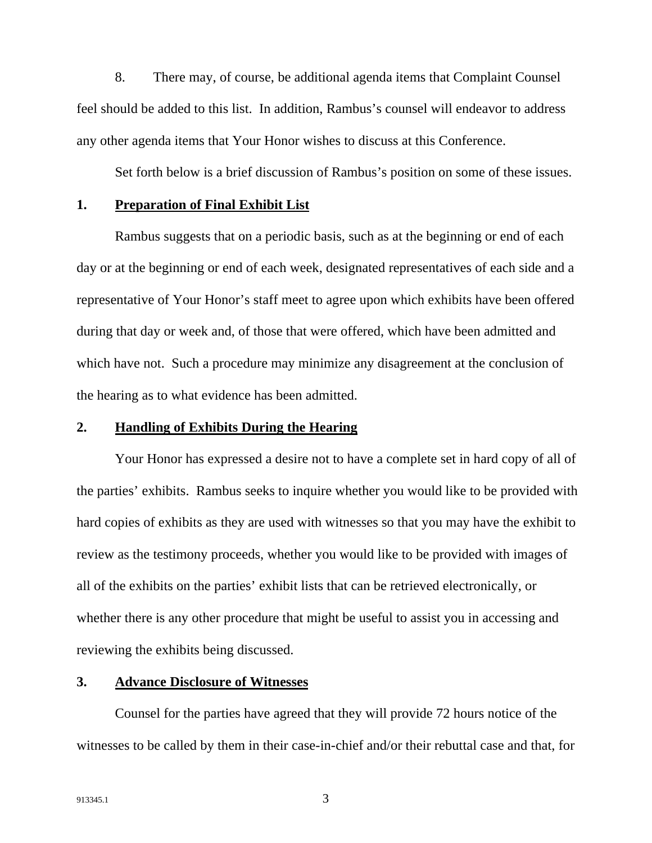8. There may, of course, be additional agenda items that Complaint Counsel feel should be added to this list. In addition, Rambus's counsel will endeavor to address any other agenda items that Your Honor wishes to discuss at this Conference.

Set forth below is a brief discussion of Rambus's position on some of these issues.

### **1. Preparation of Final Exhibit List**

Rambus suggests that on a periodic basis, such as at the beginning or end of each day or at the beginning or end of each week, designated representatives of each side and a representative of Your Honor's staff meet to agree upon which exhibits have been offered during that day or week and, of those that were offered, which have been admitted and which have not. Such a procedure may minimize any disagreement at the conclusion of the hearing as to what evidence has been admitted.

#### **2. Handling of Exhibits During the Hearing**

Your Honor has expressed a desire not to have a complete set in hard copy of all of the parties' exhibits. Rambus seeks to inquire whether you would like to be provided with hard copies of exhibits as they are used with witnesses so that you may have the exhibit to review as the testimony proceeds, whether you would like to be provided with images of all of the exhibits on the parties' exhibit lists that can be retrieved electronically, or whether there is any other procedure that might be useful to assist you in accessing and reviewing the exhibits being discussed.

## **3. Advance Disclosure of Witnesses**

Counsel for the parties have agreed that they will provide 72 hours notice of the witnesses to be called by them in their case-in-chief and/or their rebuttal case and that, for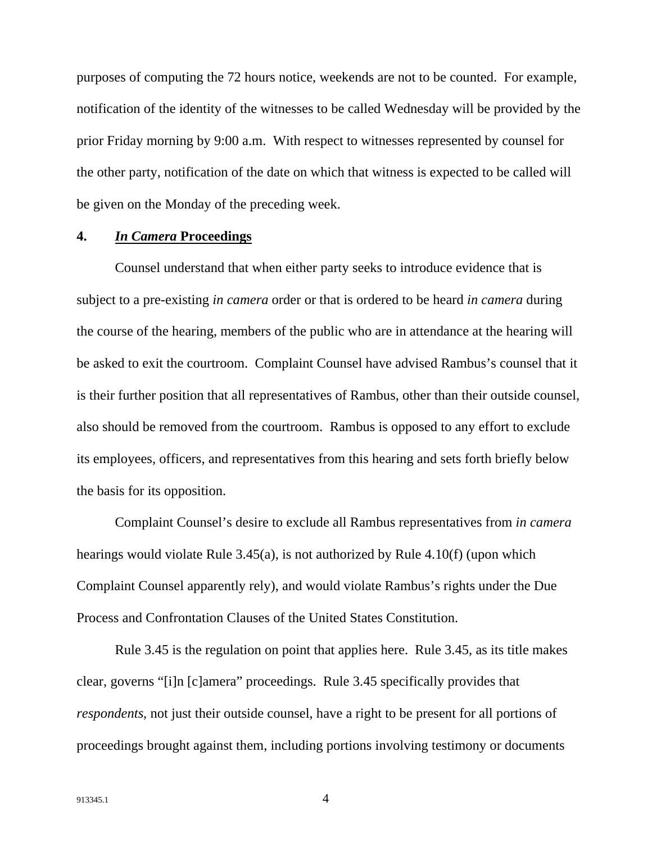purposes of computing the 72 hours notice, weekends are not to be counted. For example, notification of the identity of the witnesses to be called Wednesday will be provided by the prior Friday morning by 9:00 a.m. With respect to witnesses represented by counsel for the other party, notification of the date on which that witness is expected to be called will be given on the Monday of the preceding week.

## **4.** *In Camera* **Proceedings**

Counsel understand that when either party seeks to introduce evidence that is subject to a pre-existing *in camera* order or that is ordered to be heard *in camera* during the course of the hearing, members of the public who are in attendance at the hearing will be asked to exit the courtroom. Complaint Counsel have advised Rambus's counsel that it is their further position that all representatives of Rambus, other than their outside counsel, also should be removed from the courtroom. Rambus is opposed to any effort to exclude its employees, officers, and representatives from this hearing and sets forth briefly below the basis for its opposition.

Complaint Counsel's desire to exclude all Rambus representatives from *in camera* hearings would violate Rule 3.45(a), is not authorized by Rule 4.10(f) (upon which Complaint Counsel apparently rely), and would violate Rambus's rights under the Due Process and Confrontation Clauses of the United States Constitution.

Rule 3.45 is the regulation on point that applies here. Rule 3.45, as its title makes clear, governs "[i]n [c]amera" proceedings. Rule 3.45 specifically provides that *respondents*, not just their outside counsel, have a right to be present for all portions of proceedings brought against them, including portions involving testimony or documents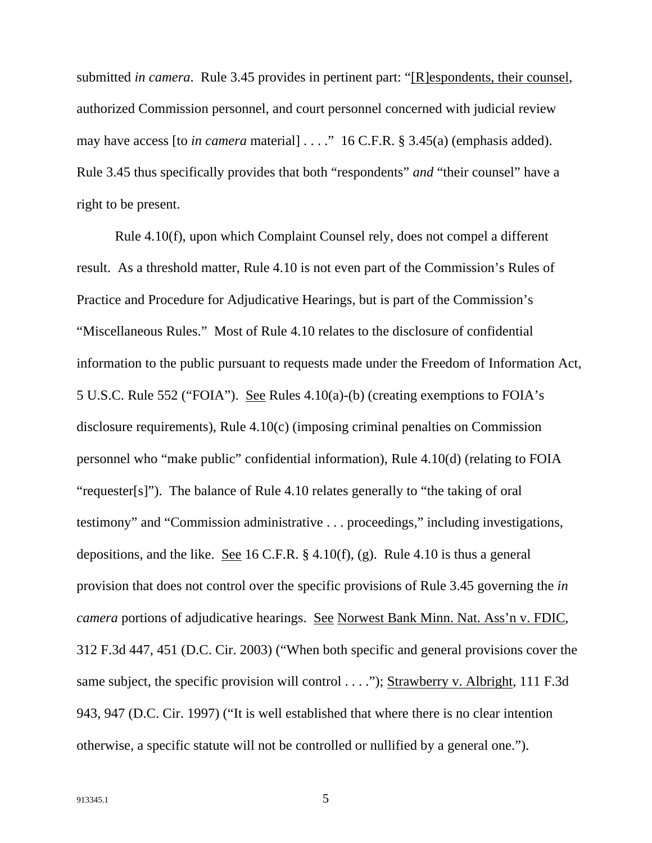submitted *in camera*. Rule 3.45 provides in pertinent part: "[R]espondents, their counsel, authorized Commission personnel, and court personnel concerned with judicial review may have access [to *in camera* material] . . . ." 16 C.F.R. § 3.45(a) (emphasis added). Rule 3.45 thus specifically provides that both "respondents" *and* "their counsel" have a right to be present.

Rule 4.10(f), upon which Complaint Counsel rely, does not compel a different result. As a threshold matter, Rule 4.10 is not even part of the Commission's Rules of Practice and Procedure for Adjudicative Hearings, but is part of the Commission's "Miscellaneous Rules." Most of Rule 4.10 relates to the disclosure of confidential information to the public pursuant to requests made under the Freedom of Information Act, 5 U.S.C. Rule 552 ("FOIA"). See Rules 4.10(a)-(b) (creating exemptions to FOIA's disclosure requirements), Rule 4.10(c) (imposing criminal penalties on Commission personnel who "make public" confidential information), Rule 4.10(d) (relating to FOIA "requester[s]"). The balance of Rule 4.10 relates generally to "the taking of oral testimony" and "Commission administrative . . . proceedings," including investigations, depositions, and the like. See 16 C.F.R. § 4.10(f), (g). Rule 4.10 is thus a general provision that does not control over the specific provisions of Rule 3.45 governing the *in camera* portions of adjudicative hearings. See Norwest Bank Minn. Nat. Ass'n v. FDIC, 312 F.3d 447, 451 (D.C. Cir. 2003) ("When both specific and general provisions cover the same subject, the specific provision will control . . . ."); Strawberry v. Albright, 111 F.3d 943, 947 (D.C. Cir. 1997) ("It is well established that where there is no clear intention otherwise, a specific statute will not be controlled or nullified by a general one.").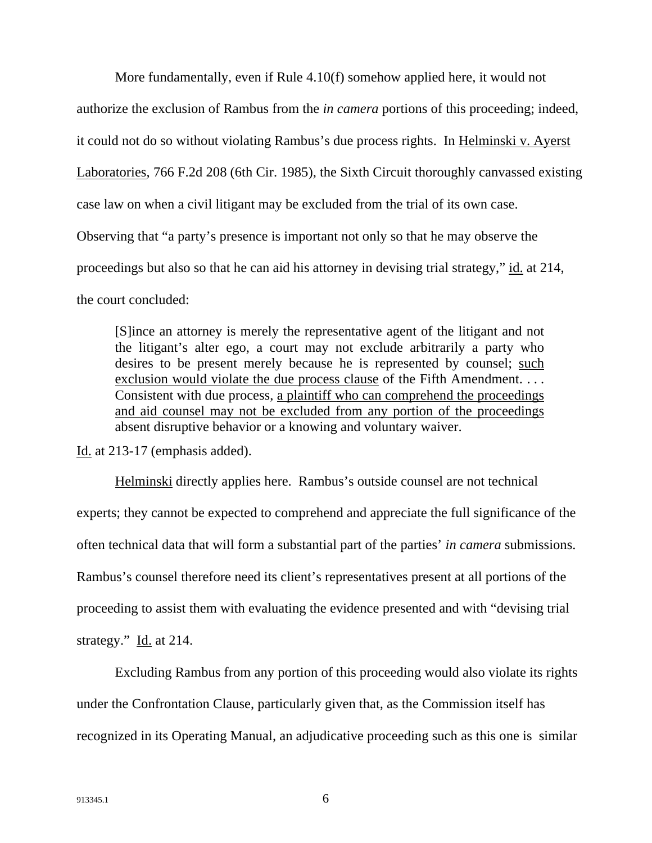More fundamentally, even if Rule 4.10(f) somehow applied here, it would not authorize the exclusion of Rambus from the *in camera* portions of this proceeding; indeed, it could not do so without violating Rambus's due process rights. In Helminski v. Ayerst Laboratories, 766 F.2d 208 (6th Cir. 1985), the Sixth Circuit thoroughly canvassed existing case law on when a civil litigant may be excluded from the trial of its own case. Observing that "a party's presence is important not only so that he may observe the proceedings but also so that he can aid his attorney in devising trial strategy," id. at 214, the court concluded:

[S]ince an attorney is merely the representative agent of the litigant and not the litigant's alter ego, a court may not exclude arbitrarily a party who desires to be present merely because he is represented by counsel; such exclusion would violate the due process clause of the Fifth Amendment. ... Consistent with due process, a plaintiff who can comprehend the proceedings and aid counsel may not be excluded from any portion of the proceedings absent disruptive behavior or a knowing and voluntary waiver.

Id. at 213-17 (emphasis added).

Helminski directly applies here. Rambus's outside counsel are not technical experts; they cannot be expected to comprehend and appreciate the full significance of the often technical data that will form a substantial part of the parties' *in camera* submissions. Rambus's counsel therefore need its client's representatives present at all portions of the proceeding to assist them with evaluating the evidence presented and with "devising trial strategy." Id. at 214.

Excluding Rambus from any portion of this proceeding would also violate its rights under the Confrontation Clause, particularly given that, as the Commission itself has recognized in its Operating Manual, an adjudicative proceeding such as this one is similar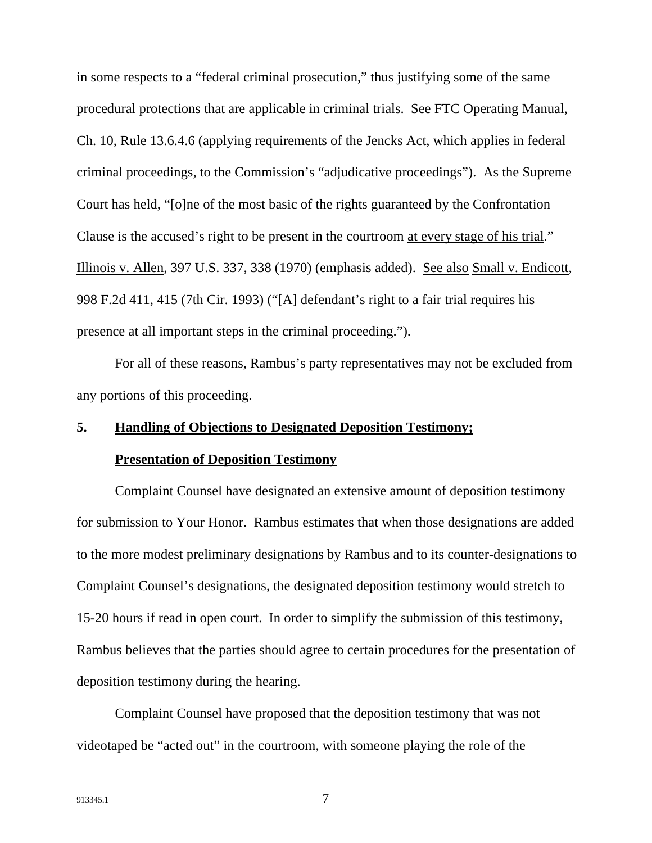in some respects to a "federal criminal prosecution," thus justifying some of the same procedural protections that are applicable in criminal trials. See FTC Operating Manual, Ch. 10, Rule 13.6.4.6 (applying requirements of the Jencks Act, which applies in federal criminal proceedings, to the Commission's "adjudicative proceedings"). As the Supreme Court has held, "[o]ne of the most basic of the rights guaranteed by the Confrontation Clause is the accused's right to be present in the courtroom at every stage of his trial." Illinois v. Allen, 397 U.S. 337, 338 (1970) (emphasis added). See also Small v. Endicott, 998 F.2d 411, 415 (7th Cir. 1993) ("[A] defendant's right to a fair trial requires his presence at all important steps in the criminal proceeding.").

For all of these reasons, Rambus's party representatives may not be excluded from any portions of this proceeding.

## **5. Handling of Objections to Designated Deposition Testimony;**

#### **Presentation of Deposition Testimony**

Complaint Counsel have designated an extensive amount of deposition testimony for submission to Your Honor. Rambus estimates that when those designations are added to the more modest preliminary designations by Rambus and to its counter-designations to Complaint Counsel's designations, the designated deposition testimony would stretch to 15-20 hours if read in open court. In order to simplify the submission of this testimony, Rambus believes that the parties should agree to certain procedures for the presentation of deposition testimony during the hearing.

Complaint Counsel have proposed that the deposition testimony that was not videotaped be "acted out" in the courtroom, with someone playing the role of the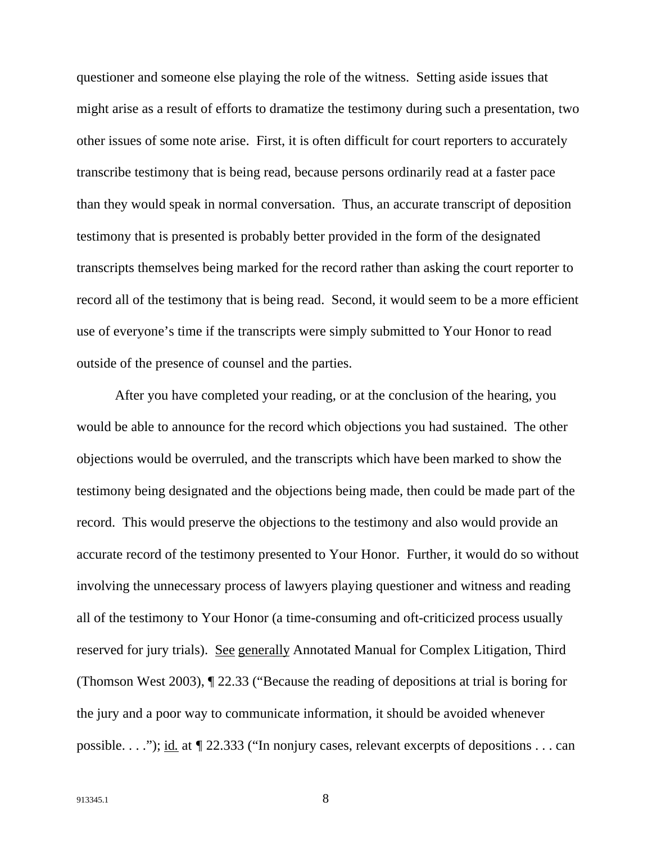questioner and someone else playing the role of the witness. Setting aside issues that might arise as a result of efforts to dramatize the testimony during such a presentation, two other issues of some note arise. First, it is often difficult for court reporters to accurately transcribe testimony that is being read, because persons ordinarily read at a faster pace than they would speak in normal conversation. Thus, an accurate transcript of deposition testimony that is presented is probably better provided in the form of the designated transcripts themselves being marked for the record rather than asking the court reporter to record all of the testimony that is being read. Second, it would seem to be a more efficient use of everyone's time if the transcripts were simply submitted to Your Honor to read outside of the presence of counsel and the parties.

After you have completed your reading, or at the conclusion of the hearing, you would be able to announce for the record which objections you had sustained. The other objections would be overruled, and the transcripts which have been marked to show the testimony being designated and the objections being made, then could be made part of the record. This would preserve the objections to the testimony and also would provide an accurate record of the testimony presented to Your Honor. Further, it would do so without involving the unnecessary process of lawyers playing questioner and witness and reading all of the testimony to Your Honor (a time-consuming and oft-criticized process usually reserved for jury trials). See generally Annotated Manual for Complex Litigation, Third (Thomson West 2003), ¶ 22.33 ("Because the reading of depositions at trial is boring for the jury and a poor way to communicate information, it should be avoided whenever possible. . . ."); id*.* at *¶* 22.333 ("In nonjury cases, relevant excerpts of depositions . . . can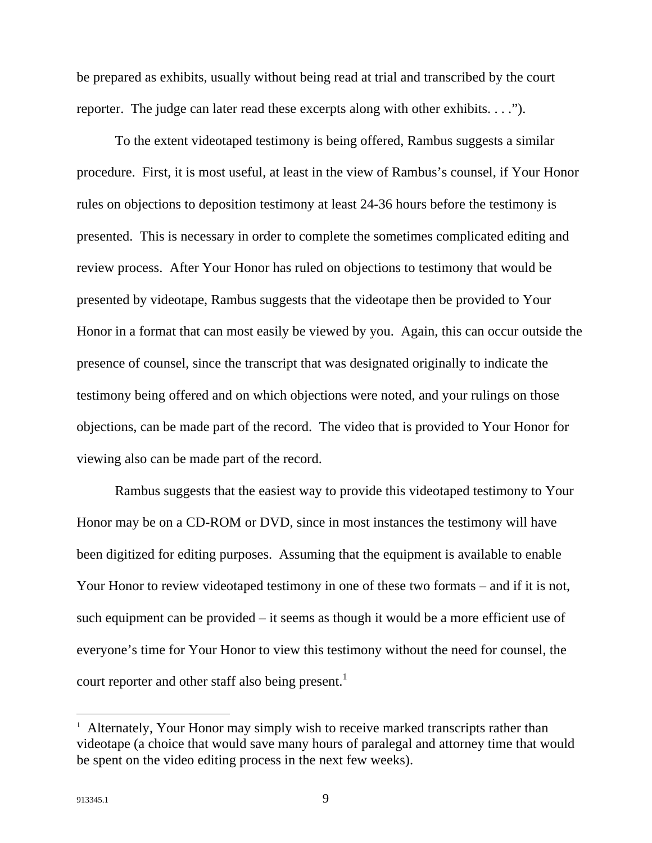be prepared as exhibits, usually without being read at trial and transcribed by the court reporter. The judge can later read these excerpts along with other exhibits. . . .").

To the extent videotaped testimony is being offered, Rambus suggests a similar procedure. First, it is most useful, at least in the view of Rambus's counsel, if Your Honor rules on objections to deposition testimony at least 24-36 hours before the testimony is presented. This is necessary in order to complete the sometimes complicated editing and review process. After Your Honor has ruled on objections to testimony that would be presented by videotape, Rambus suggests that the videotape then be provided to Your Honor in a format that can most easily be viewed by you. Again, this can occur outside the presence of counsel, since the transcript that was designated originally to indicate the testimony being offered and on which objections were noted, and your rulings on those objections, can be made part of the record. The video that is provided to Your Honor for viewing also can be made part of the record.

Rambus suggests that the easiest way to provide this videotaped testimony to Your Honor may be on a CD-ROM or DVD, since in most instances the testimony will have been digitized for editing purposes. Assuming that the equipment is available to enable Your Honor to review videotaped testimony in one of these two formats – and if it is not, such equipment can be provided – it seems as though it would be a more efficient use of everyone's time for Your Honor to view this testimony without the need for counsel, the court reporter and other staff also being present.<sup>1</sup>

1

<sup>&</sup>lt;sup>1</sup> Alternately, Your Honor may simply wish to receive marked transcripts rather than videotape (a choice that would save many hours of paralegal and attorney time that would be spent on the video editing process in the next few weeks).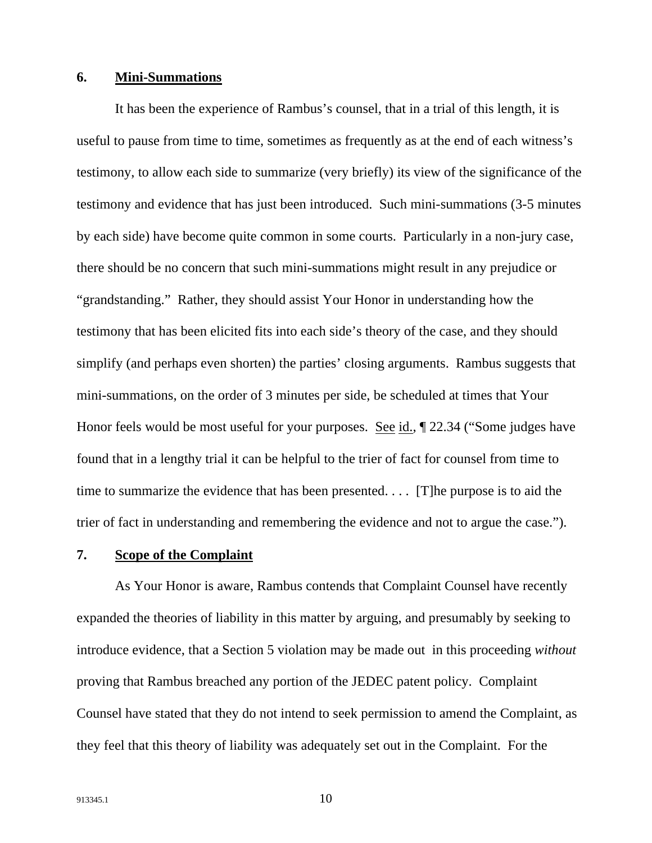## **6. Mini-Summations**

It has been the experience of Rambus's counsel, that in a trial of this length, it is useful to pause from time to time, sometimes as frequently as at the end of each witness's testimony, to allow each side to summarize (very briefly) its view of the significance of the testimony and evidence that has just been introduced. Such mini-summations (3-5 minutes by each side) have become quite common in some courts. Particularly in a non-jury case, there should be no concern that such mini-summations might result in any prejudice or "grandstanding." Rather, they should assist Your Honor in understanding how the testimony that has been elicited fits into each side's theory of the case, and they should simplify (and perhaps even shorten) the parties' closing arguments. Rambus suggests that mini-summations, on the order of 3 minutes per side, be scheduled at times that Your Honor feels would be most useful for your purposes. See id., ¶ 22.34 ("Some judges have found that in a lengthy trial it can be helpful to the trier of fact for counsel from time to time to summarize the evidence that has been presented. . . . [T]he purpose is to aid the trier of fact in understanding and remembering the evidence and not to argue the case.").

### **7. Scope of the Complaint**

As Your Honor is aware, Rambus contends that Complaint Counsel have recently expanded the theories of liability in this matter by arguing, and presumably by seeking to introduce evidence, that a Section 5 violation may be made out in this proceeding *without* proving that Rambus breached any portion of the JEDEC patent policy. Complaint Counsel have stated that they do not intend to seek permission to amend the Complaint, as they feel that this theory of liability was adequately set out in the Complaint. For the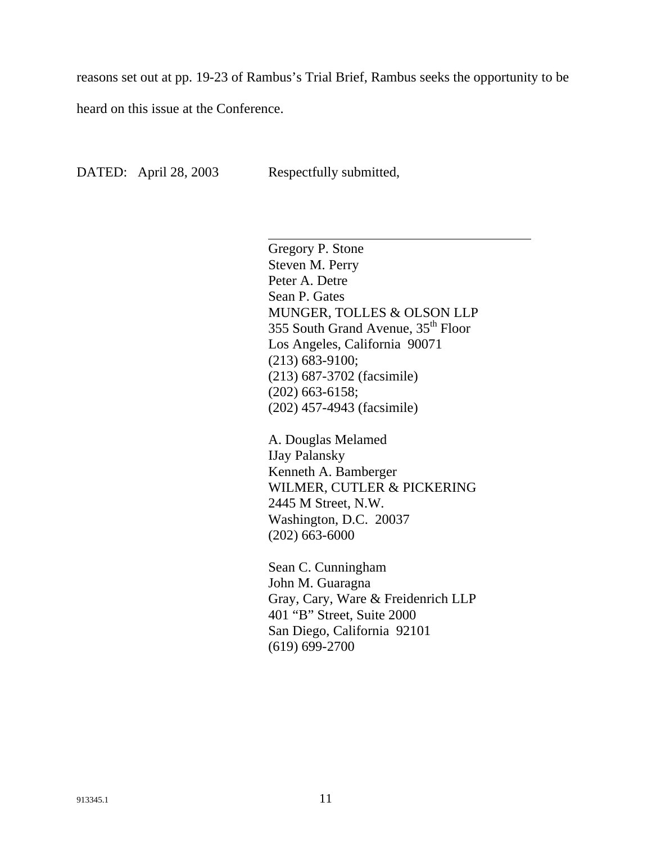reasons set out at pp. 19-23 of Rambus's Trial Brief, Rambus seeks the opportunity to be

heard on this issue at the Conference.

DATED: April 28, 2003 Respectfully submitted,

 $\overline{\phantom{a}}$ 

Gregory P. Stone Steven M. Perry Peter A. Detre Sean P. Gates MUNGER, TOLLES & OLSON LLP 355 South Grand Avenue, 35<sup>th</sup> Floor Los Angeles, California 90071 (213) 683-9100; (213) 687-3702 (facsimile) (202) 663-6158; (202) 457-4943 (facsimile)

A. Douglas Melamed IJay Palansky Kenneth A. Bamberger WILMER, CUTLER & PICKERING 2445 M Street, N.W. Washington, D.C. 20037 (202) 663-6000

Sean C. Cunningham John M. Guaragna Gray, Cary, Ware & Freidenrich LLP 401 "B" Street, Suite 2000 San Diego, California 92101 (619) 699-2700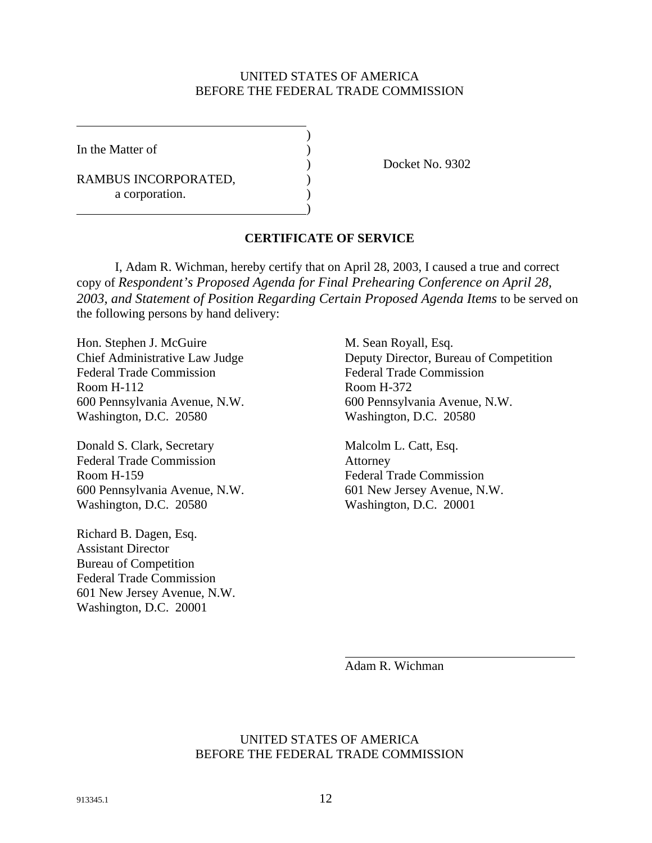## UNITED STATES OF AMERICA BEFORE THE FEDERAL TRADE COMMISSION

)

)

In the Matter of (1)

RAMBUS INCORPORATED, a corporation.

) Docket No. 9302

## **CERTIFICATE OF SERVICE**

I, Adam R. Wichman, hereby certify that on April 28, 2003, I caused a true and correct copy of *Respondent's Proposed Agenda for Final Prehearing Conference on April 28,*  2003, and Statement of Position Regarding Certain Proposed Agenda Items to be served on the following persons by hand delivery:

Hon. Stephen J. McGuire M. Sean Royall, Esq. Federal Trade Commission Federal Trade Commission Room H-112 Room H-372 600 Pennsylvania Avenue, N.W. 600 Pennsylvania Avenue, N.W. Washington, D.C. 20580 Washington, D.C. 20580

Donald S. Clark, Secretary Malcolm L. Catt, Esq. Federal Trade Commission Attorney Room H-159 Federal Trade Commission 600 Pennsylvania Avenue, N.W. 601 New Jersey Avenue, N.W. Washington, D.C. 20580 Washington, D.C. 20001

Richard B. Dagen, Esq. Assistant Director Bureau of Competition Federal Trade Commission 601 New Jersey Avenue, N.W. Washington, D.C. 20001

Chief Administrative Law Judge Deputy Director, Bureau of Competition

Adam R. Wichman

### UNITED STATES OF AMERICA BEFORE THE FEDERAL TRADE COMMISSION